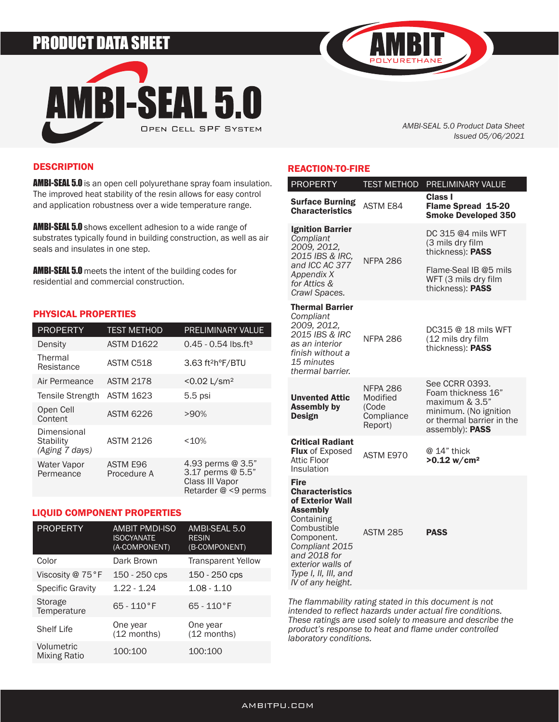# PRODUCT DATA SHEET



*AMBI-SEAL 5.0 Product Data Sheet Issued 05/06/2021*

## **DESCRIPTION**

**AMBI-SEAL 5.0** is an open cell polyurethane spray foam insulation. The improved heat stability of the resin allows for easy control and application robustness over a wide temperature range.

**AMBI-SEAL 5.0** shows excellent adhesion to a wide range of substrates typically found in building construction, as well as air seals and insulates in one step.

**AMBI-SEAL 5.0** meets the intent of the building codes for residential and commercial construction.

#### PHYSICAL PROPERTIES

| <b>PROPERTY</b>                                   | <b>TEST METHOD</b>      | PRELIMINARY VALUE                                                                |
|---------------------------------------------------|-------------------------|----------------------------------------------------------------------------------|
| Density                                           | <b>ASTM D1622</b>       | $0.45 - 0.54$ lbs.ft <sup>3</sup>                                                |
| Thermal<br>Resistance                             | ASTM C518               | 3.63 ft <sup>2</sup> h°F/BTU                                                     |
| Air Permeance                                     | <b>ASTM 2178</b>        | $< 0.02$ L/sm <sup>2</sup>                                                       |
| Tensile Strength                                  | <b>ASTM 1623</b>        | $5.5$ psi                                                                        |
| Open Cell<br>Content                              | <b>ASTM 6226</b>        | >90%                                                                             |
| Dimensional<br><b>Stability</b><br>(Aging 7 days) | <b>ASTM 2126</b>        | <10%                                                                             |
| Water Vapor<br>Permeance                          | ASTM E96<br>Procedure A | 4.93 perms @ 3.5"<br>3.17 perms @ 5.5"<br>Class III Vapor<br>Retarder @ <9 perms |

#### LIQUID COMPONENT PROPERTIES

| <b>PROPERTY</b>            | <b>AMBIT PMDI-ISO</b><br><b>ISOCYANATE</b><br>(A-COMPONENT) | AMBI-SEAL 5.0<br><b>RESIN</b><br>(B-COMPONENT) |
|----------------------------|-------------------------------------------------------------|------------------------------------------------|
| Color                      | Dark Brown                                                  | <b>Transparent Yellow</b>                      |
| Viscosity @ 75°F           | 150 - 250 cps                                               | 150 - 250 cps                                  |
| <b>Specific Gravity</b>    | $1.22 - 1.24$                                               | $1.08 - 1.10$                                  |
| Storage<br>Temperature     | $65 - 110$ °F                                               | $65 - 110$ °F                                  |
| <b>Shelf Life</b>          | One year<br>$(12$ months)                                   | One year<br>$(12$ months)                      |
| Volumetric<br>Mixing Ratio | 100:100                                                     | 100:100                                        |

### REACTION-TO-FIRE

| <b>PROPERTY</b>                                                                                                                                                                                        | <b>TEST METHOD</b>                                            | <b>PRELIMINARY VALUE</b>                                                                                                                 |
|--------------------------------------------------------------------------------------------------------------------------------------------------------------------------------------------------------|---------------------------------------------------------------|------------------------------------------------------------------------------------------------------------------------------------------|
| <b>Surface Burning</b><br><b>Characteristics</b>                                                                                                                                                       | <b>ASTM E84</b>                                               | Class I<br>Flame Spread 15-20<br><b>Smoke Developed 350</b>                                                                              |
| <b>Ignition Barrier</b><br>Compliant<br>2009, 2012,<br>2015 IBS & IRC,<br>and ICC AC 377<br>Appendix X<br>for Attics &<br>Crawl Spaces.                                                                | <b>NFPA 286</b>                                               | DC 315 @4 mils WFT<br>(3 mils dry film<br>thickness): PASS                                                                               |
|                                                                                                                                                                                                        |                                                               | Flame-Seal IB @5 mils<br>WFT (3 mils dry film<br>thickness): PASS                                                                        |
| <b>Thermal Barrier</b><br>Compliant<br>2009, 2012,<br>2015 IBS & IRC<br>as an interior<br>finish without a<br>15 minutes<br>thermal barrier.                                                           | <b>NFPA 286</b>                                               | DC315 @ 18 mils WFT<br>(12 mils dry film<br>thickness): PASS                                                                             |
| <b>Unvented Attic</b><br><b>Assembly by</b><br><b>Design</b>                                                                                                                                           | <b>NFPA 286</b><br>Modified<br>(Code<br>Compliance<br>Report) | See CCRR 0393.<br>Foam thickness 16"<br>maximum $& 3.5"$<br>minimum. (No ignition<br>or thermal barrier in the<br>assembly): <b>PASS</b> |
| <b>Critical Radiant</b><br><b>Flux of Exposed</b><br><b>Attic Floor</b><br>Insulation                                                                                                                  | ASTM E970                                                     | $@14"$ thick<br>$>0.12$ w/cm <sup>2</sup>                                                                                                |
| <b>Fire</b><br><b>Characteristics</b><br>of Exterior Wall<br><b>Assembly</b><br>Containing<br>Combustible<br>Component.<br>Compliant 2015<br>and 2018 for<br>exterior walls of<br>Type I, II, III, and | <b>ASTM 285</b>                                               | <b>PASS</b>                                                                                                                              |

*The flammability rating stated in this document is not intended to reflect hazards under actual fire conditions. These ratings are used solely to measure and describe the product's response to heat and flame under controlled laboratory conditions.* 

*IV of any height.*